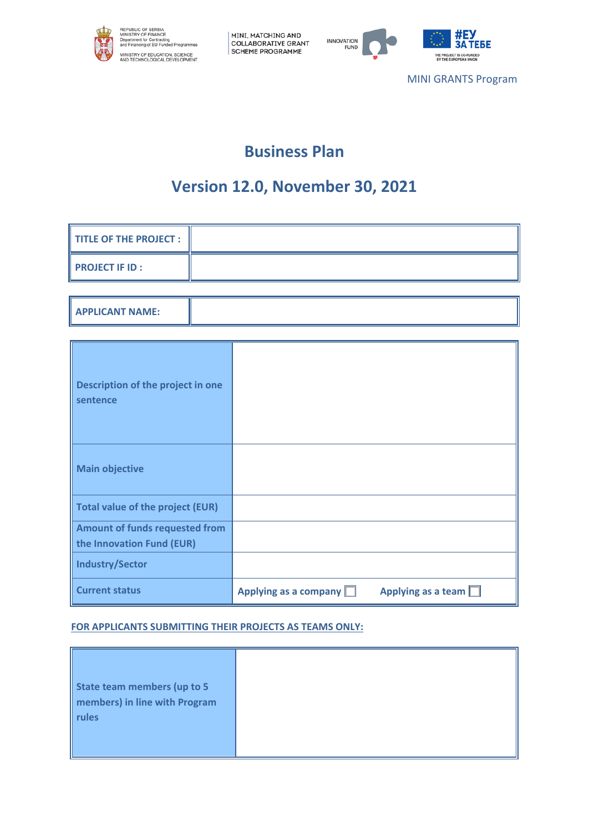





MINI GRANTS Program

# **Business Plan**

# **Version 12.0, November 30, 2021**

| <b>TITLE OF THE PROJECT:</b>                                |                                                      |
|-------------------------------------------------------------|------------------------------------------------------|
| <b>PROJECT IF ID:</b>                                       |                                                      |
|                                                             |                                                      |
| <b>APPLICANT NAME:</b>                                      |                                                      |
|                                                             |                                                      |
| Description of the project in one<br>sentence               |                                                      |
| <b>Main objective</b>                                       |                                                      |
| <b>Total value of the project (EUR)</b>                     |                                                      |
| Amount of funds requested from<br>the Innovation Fund (EUR) |                                                      |
| <b>Industry/Sector</b>                                      |                                                      |
| <b>Current status</b>                                       | Applying as a company $\Box$<br>Applying as a team [ |

### **FOR APPLICANTS SUBMITTING THEIR PROJECTS AS TEAMS ONLY:**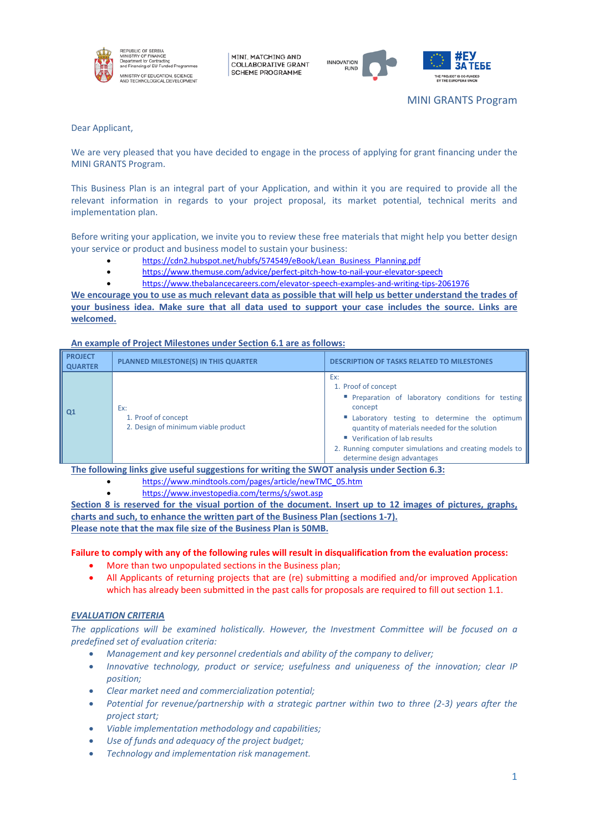

REPUBLIC OF SERBIA<br>VINISTRY OF FINANCE<br>Department for Contractin<br>and Financing of EU Fund .<br>INISTRY OF EDUCATION, SCIENCE<br>ND TECHNOLOGICAL DEVELOPMENT

MINI, MATCHING AND **COLLABORATIVE GRANT SCHEME PROGRAMME** 





Dear Applicant,

We are very pleased that you have decided to engage in the process of applying for grant financing under the MINI GRANTS Program.

This Business Plan is an integral part of your Application, and within it you are required to provide all the relevant information in regards to your project proposal, its market potential, technical merits and implementation plan.

Before writing your application, we invite you to review these free materials that might help you better design your service or product and business model to sustain your business:

- [https://cdn2.hubspot.net/hubfs/574549/eBook/Lean\\_Business\\_Planning.pdf](https://cdn2.hubspot.net/hubfs/574549/eBook/Lean_Business_Planning.pdf)
- <https://www.themuse.com/advice/perfect-pitch-how-to-nail-your-elevator-speech>
	- <https://www.thebalancecareers.com/elevator-speech-examples-and-writing-tips-2061976>

**We encourage you to use as much relevant data as possible that will help us better understand the trades of your business idea. Make sure that all data used to support your case includes the source. Links are welcomed.**

#### **An example of Project Milestones under Section 6.1 are as follows:**

| <b>PROJECT</b><br><b>QUARTER</b> | <b>PLANNED MILESTONE(S) IN THIS QUARTER</b>                       | <b>DESCRIPTION OF TASKS RELATED TO MILESTONES</b>                                                                                                                                                                                                                                                                       |
|----------------------------------|-------------------------------------------------------------------|-------------------------------------------------------------------------------------------------------------------------------------------------------------------------------------------------------------------------------------------------------------------------------------------------------------------------|
| Q1                               | Ex:<br>1. Proof of concept<br>2. Design of minimum viable product | Ex:<br>1. Proof of concept<br>" Preparation of laboratory conditions for testing<br>concept<br>" Laboratory testing to determine the optimum<br>quantity of materials needed for the solution<br>■ Verification of lab results<br>2. Running computer simulations and creating models to<br>determine design advantages |

**The following links give useful suggestions for writing the SWOT analysis under Section 6.3:**

- [https://www.mindtools.com/pages/article/newTMC\\_05.htm](https://www.mindtools.com/pages/article/newTMC_05.htm)
	- <https://www.investopedia.com/terms/s/swot.asp>

**Section 8 is reserved for the visual portion of the document. Insert up to 12 images of pictures, graphs, charts and such, to enhance the written part of the Business Plan (sections 1-7). Please note that the max file size of the Business Plan is 50MB.**

**Failure to comply with any of the following rules will result in disqualification from the evaluation process:**

- More than two unpopulated sections in the Business plan;
- All Applicants of returning projects that are (re) submitting a modified and/or improved Application which has already been submitted in the past calls for proposals are required to fill out section 1.1.

#### *EVALUATION CRITERIA*

*The applications will be examined holistically. However, the Investment Committee will be focused on a predefined set of evaluation criteria:* 

- *Management and key personnel credentials and ability of the company to deliver;*
- *Innovative technology, product or service; usefulness and uniqueness of the innovation; clear IP position;*
- *Clear market need and commercialization potential;*
- *Potential for revenue/partnership with a strategic partner within two to three (2-3) years after the project start;*
- *Viable implementation methodology and capabilities;*
- *Use of funds and adequacy of the project budget;*
- *Technology and implementation risk management.*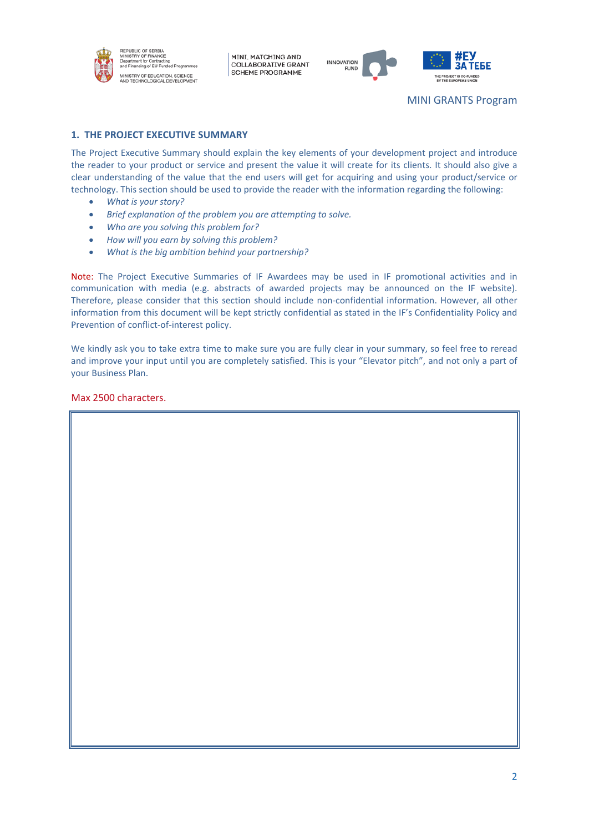



## **1. THE PROJECT EXECUTIVE SUMMARY**

The Project Executive Summary should explain the key elements of your development project and introduce the reader to your product or service and present the value it will create for its clients. It should also give a clear understanding of the value that the end users will get for acquiring and using your product/service or technology. This section should be used to provide the reader with the information regarding the following:

- *What is your story?*
- *Brief explanation of the problem you are attempting to solve.*
- *Who are you solving this problem for?*
- *How will you earn by solving this problem?*
- *What is the big ambition behind your partnership?*

Note: The Project Executive Summaries of IF Awardees may be used in IF promotional activities and in communication with media (e.g. abstracts of awarded projects may be announced on the IF website). Therefore, please consider that this section should include non-confidential information. However, all other information from this document will be kept strictly confidential as stated in the IF's Confidentiality Policy and Prevention of conflict-of-interest policy.

We kindly ask you to take extra time to make sure you are fully clear in your summary, so feel free to reread and improve your input until you are completely satisfied. This is your "Elevator pitch", and not only a part of your Business Plan.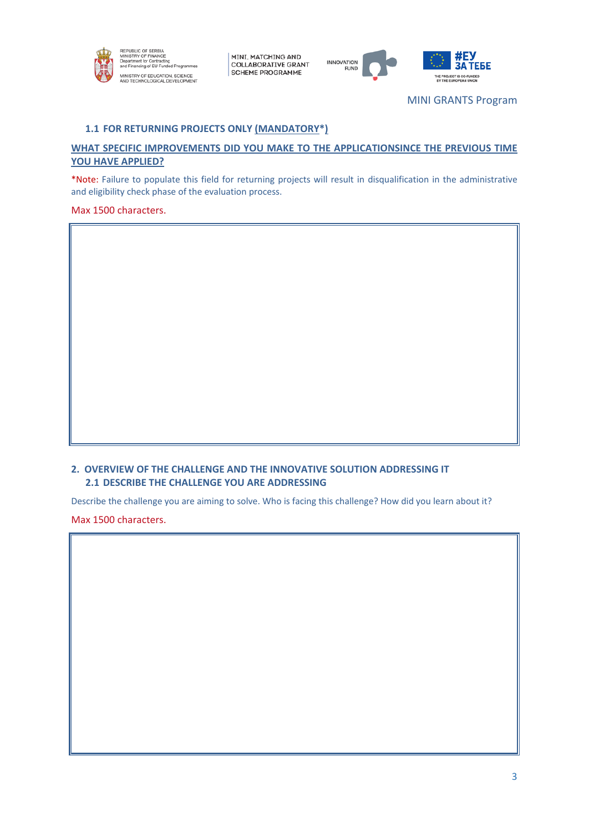



MINI GRANTS Program

## **1.1 FOR RETURNING PROJECTS ONLY (MANDATORY\*)**

## **WHAT SPECIFIC IMPROVEMENTS DID YOU MAKE TO THE APPLICATIONSINCE THE PREVIOUS TIME YOU HAVE APPLIED?**

\*Note: Failure to populate this field for returning projects will result in disqualification in the administrative and eligibility check phase of the evaluation process.

Max 1500 characters.

## **2. OVERVIEW OF THE CHALLENGE AND THE INNOVATIVE SOLUTION ADDRESSING IT 2.1 DESCRIBE THE CHALLENGE YOU ARE ADDRESSING**

Describe the challenge you are aiming to solve. Who is facing this challenge? How did you learn about it?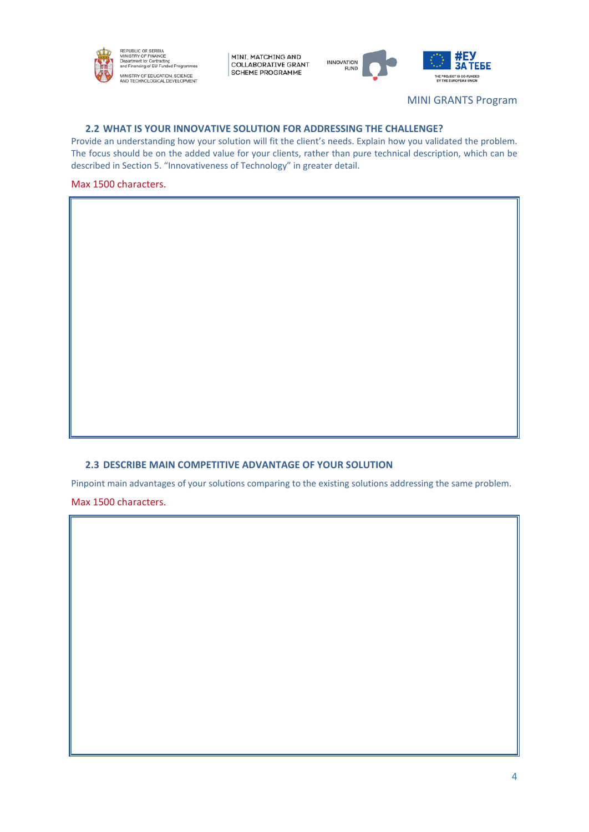



MINI GRANTS Program

#### **2.2 WHAT IS YOUR INNOVATIVE SOLUTION FOR ADDRESSING THE CHALLENGE?**

Provide an understanding how your solution will fit the client's needs. Explain how you validated the problem. The focus should be on the added value for your clients, rather than pure technical description, which can be described in Section 5. "Innovativeness of Technology" in greater detail.

#### Max 1500 characters.

## **2.3 DESCRIBE MAIN COMPETITIVE ADVANTAGE OF YOUR SOLUTION**

Pinpoint main advantages of your solutions comparing to the existing solutions addressing the same problem. Max 1500 characters.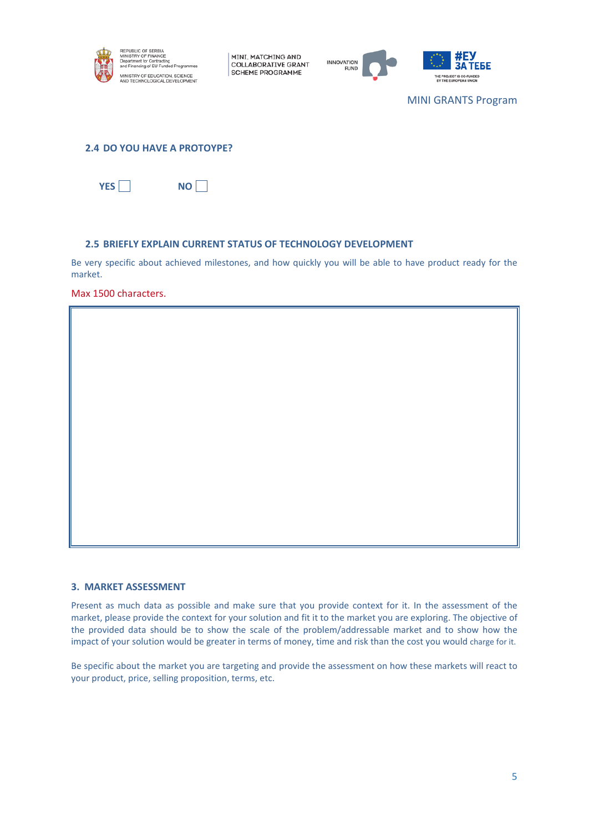



MINI GRANTS Program

#### **2.4 DO YOU HAVE A PROTOYPE?**



#### **2.5 BRIEFLY EXPLAIN CURRENT STATUS OF TECHNOLOGY DEVELOPMENT**

Be very specific about achieved milestones, and how quickly you will be able to have product ready for the market.

Max 1500 characters.

#### **3. MARKET ASSESSMENT**

Present as much data as possible and make sure that you provide context for it. In the assessment of the market, please provide the context for your solution and fit it to the market you are exploring. The objective of the provided data should be to show the scale of the problem/addressable market and to show how the impact of your solution would be greater in terms of money, time and risk than the cost you would charge for it.

Be specific about the market you are targeting and provide the assessment on how these markets will react to your product, price, selling proposition, terms, etc.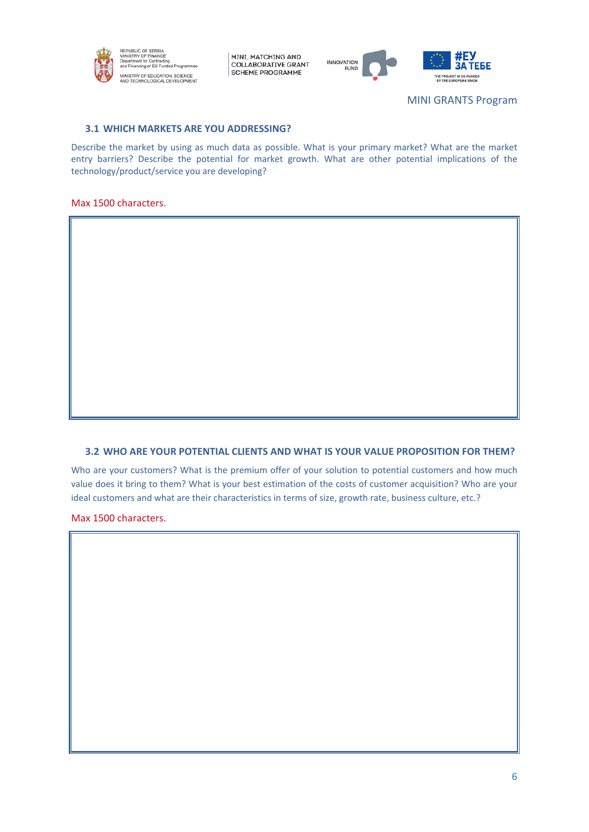





MINI GRANTS Program

## **3.1 WHICH MARKETS ARE YOU ADDRESSING?**

Describe the market by using as much data as possible. What is your primary market? What are the market entry barriers? Describe the potential for market growth. What are other potential implications of the technology/product/service you are developing?

#### Max 1500 characters.

## **3.2 WHO ARE YOUR POTENTIAL CLIENTS AND WHAT IS YOUR VALUE PROPOSITION FOR THEM?**

Who are your customers? What is the premium offer of your solution to potential customers and how much value does it bring to them? What is your best estimation of the costs of customer acquisition? Who are your ideal customers and what are their characteristics in terms of size, growth rate, business culture, etc.?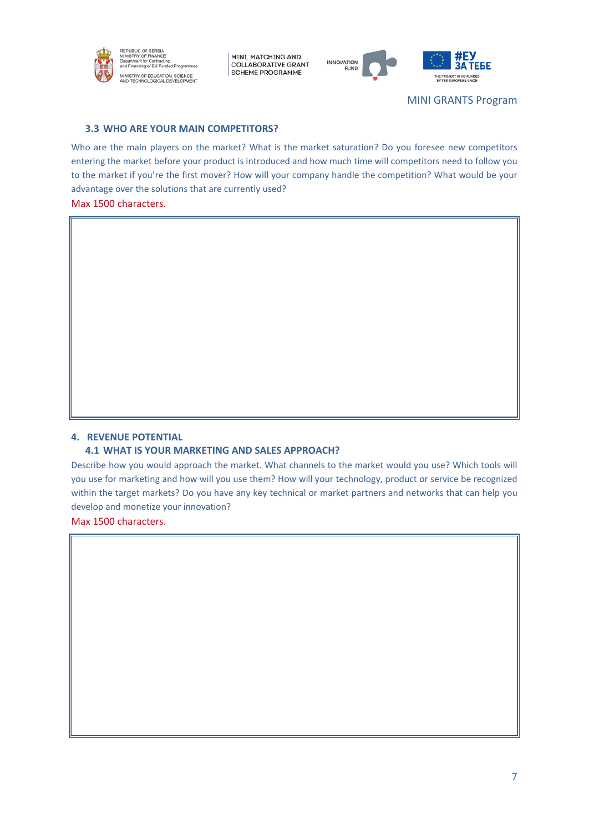



THE PROJECT IS CO-FUNDED

MINI GRANTS Program

## **3.3 WHO ARE YOUR MAIN COMPETITORS?**

Who are the main players on the market? What is the market saturation? Do you foresee new competitors entering the market before your product is introduced and how much time will competitors need to follow you to the market if you're the first mover? How will your company handle the competition? What would be your advantage over the solutions that are currently used?

Max 1500 characters.

#### **4. REVENUE POTENTIAL**

#### **4.1 WHAT IS YOUR MARKETING AND SALES APPROACH?**

Describe how you would approach the market. What channels to the market would you use? Which tools will you use for marketing and how will you use them? How will your technology, product or service be recognized within the target markets? Do you have any key technical or market partners and networks that can help you develop and monetize your innovation?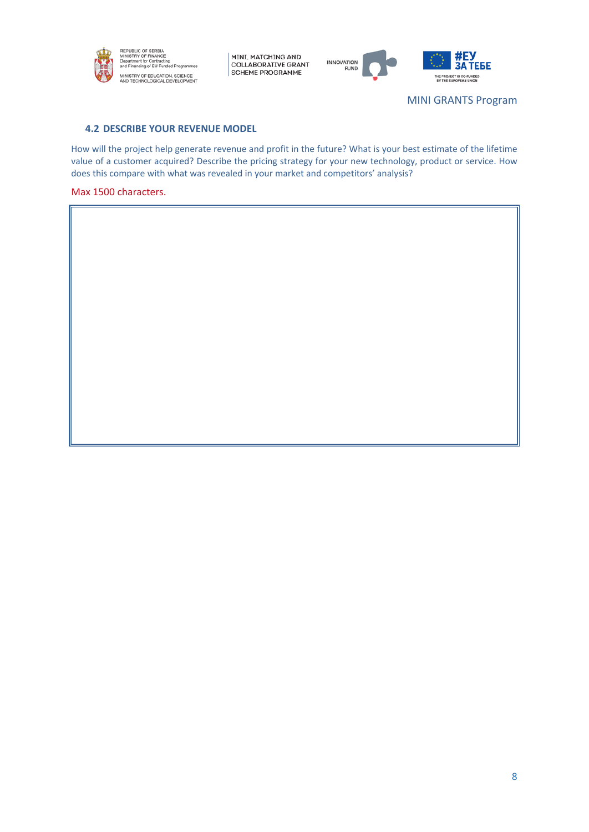



MINI GRANTS Program

## **4.2 DESCRIBE YOUR REVENUE MODEL**

How will the project help generate revenue and profit in the future? What is your best estimate of the lifetime value of a customer acquired? Describe the pricing strategy for your new technology, product or service. How does this compare with what was revealed in your market and competitors' analysis?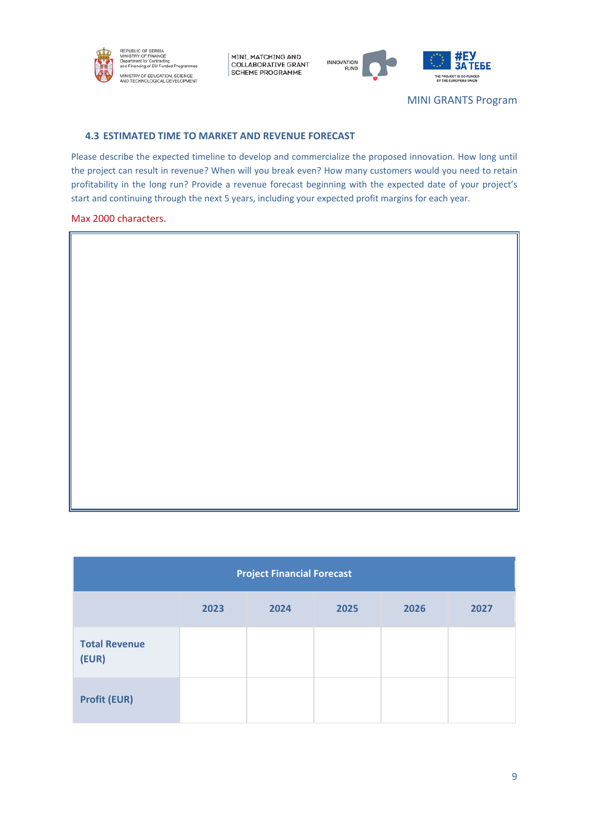



MINI GRANTS Program

#### **4.3 ESTIMATED TIME TO MARKET AND REVENUE FORECAST**

Please describe the expected timeline to develop and commercialize the proposed innovation. How long until the project can result in revenue? When will you break even? How many customers would you need to retain profitability in the long run? Provide a revenue forecast beginning with the expected date of your project's start and continuing through the next 5 years, including your expected profit margins for each year.

#### Max 2000 characters.

| <b>Project Financial Forecast</b> |      |      |      |      |      |
|-----------------------------------|------|------|------|------|------|
|                                   | 2023 | 2024 | 2025 | 2026 | 2027 |
| <b>Total Revenue</b><br>(EUR)     |      |      |      |      |      |
| <b>Profit (EUR)</b>               |      |      |      |      |      |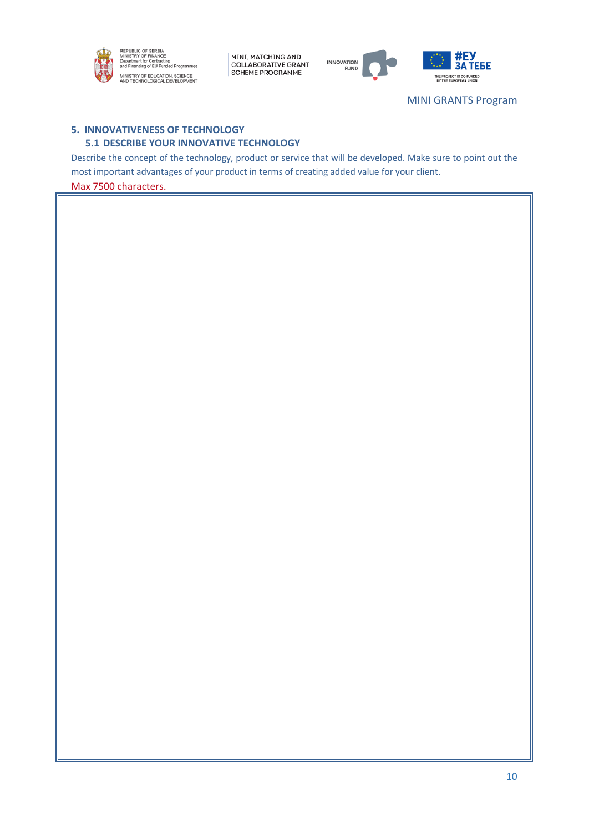



**3A TEBE** THE PROJECT IS CO-FUNDED

MINI GRANTS Program

## **5. INNOVATIVENESS OF TECHNOLOGY 5.1 DESCRIBE YOUR INNOVATIVE TECHNOLOGY**

Describe the concept of the technology, product or service that will be developed. Make sure to point out the most important advantages of your product in terms of creating added value for your client.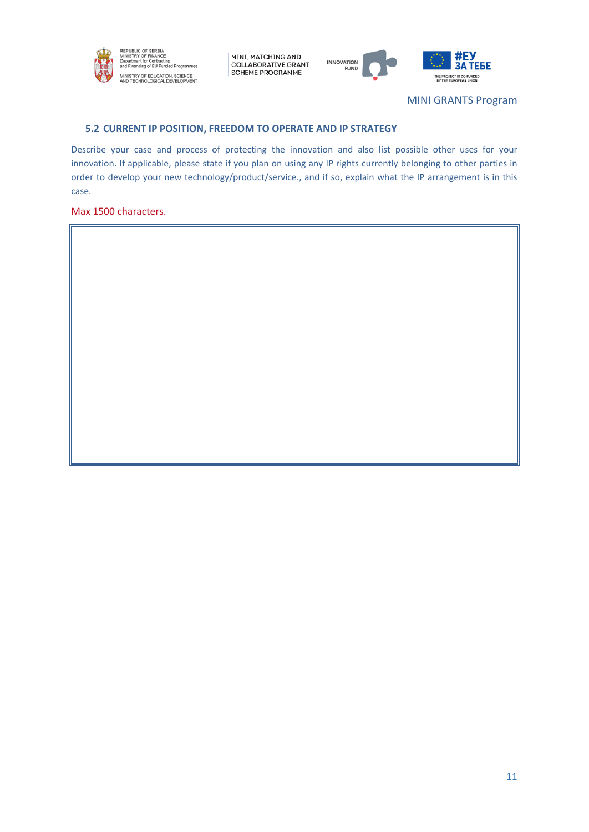



MINI GRANTS Program

#### **5.2 CURRENT IP POSITION, FREEDOM TO OPERATE AND IP STRATEGY**

Describe your case and process of protecting the innovation and also list possible other uses for your innovation. If applicable, please state if you plan on using any IP rights currently belonging to other parties in order to develop your new technology/product/service., and if so, explain what the IP arrangement is in this case.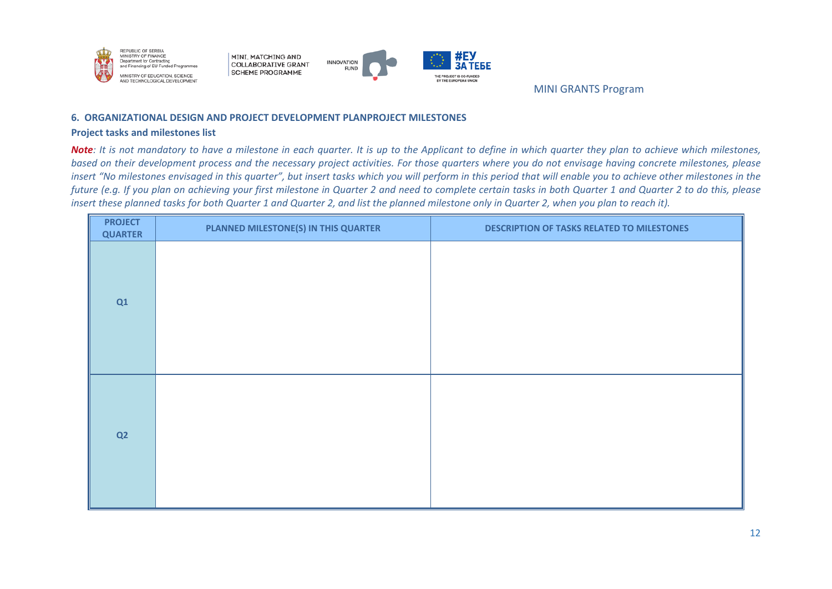



MINI GRANTS Program

#### **6. ORGANIZATIONAL DESIGN AND PROJECT DEVELOPMENT PLANPROJECT MILESTONES**

#### **Project tasks and milestones list**

*Note: It is not mandatory to have a milestone in each quarter. It is up to the Applicant to define in which quarter they plan to achieve which milestones, based on their development process and the necessary project activities. For those quarters where you do not envisage having concrete milestones, please insert "No milestones envisaged in this quarter", but insert tasks which you will perform in this period that will enable you to achieve other milestones in the future (e.g. If you plan on achieving your first milestone in Quarter 2 and need to complete certain tasks in both Quarter 1 and Quarter 2 to do this, please insert these planned tasks for both Quarter 1 and Quarter 2, and list the planned milestone only in Quarter 2, when you plan to reach it).*

| <b>PROJECT</b><br><b>QUARTER</b> | PLANNED MILESTONE(S) IN THIS QUARTER | <b>DESCRIPTION OF TASKS RELATED TO MILESTONES</b> |
|----------------------------------|--------------------------------------|---------------------------------------------------|
| Q1                               |                                      |                                                   |
| Q2                               |                                      |                                                   |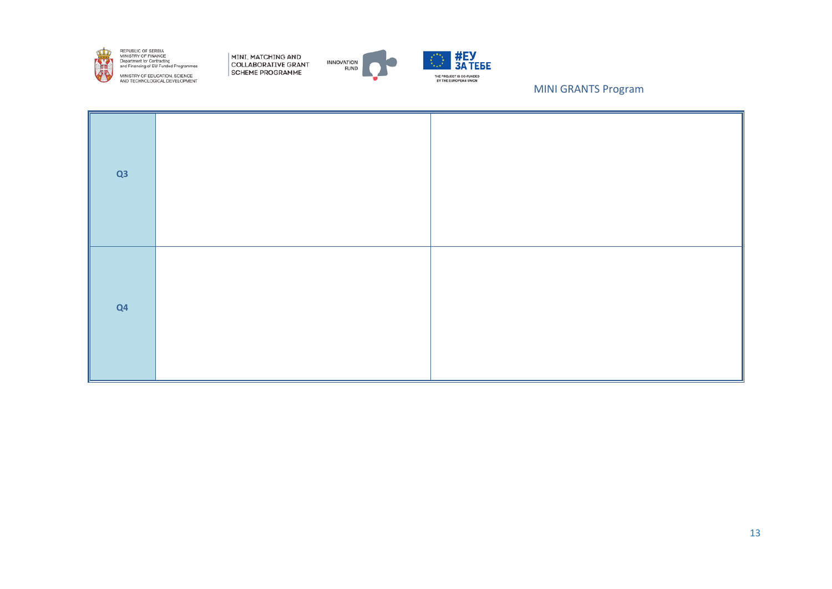

REPUBLIC OF SERBIA<br>MINISTRY OF FINANCE<br>Department for Contracting<br>and Financing of EU Funded Programmes MINISTRY OF EDUCATION, SCIENCE<br>AND TECHNOLOGICAL DEVELOPMENT

MINI, MATCHING AND<br>COLLABORATIVE GRANT SCHEME PROGRAMME





MINI GRANTS Program

| Q3 |  |
|----|--|
| Q4 |  |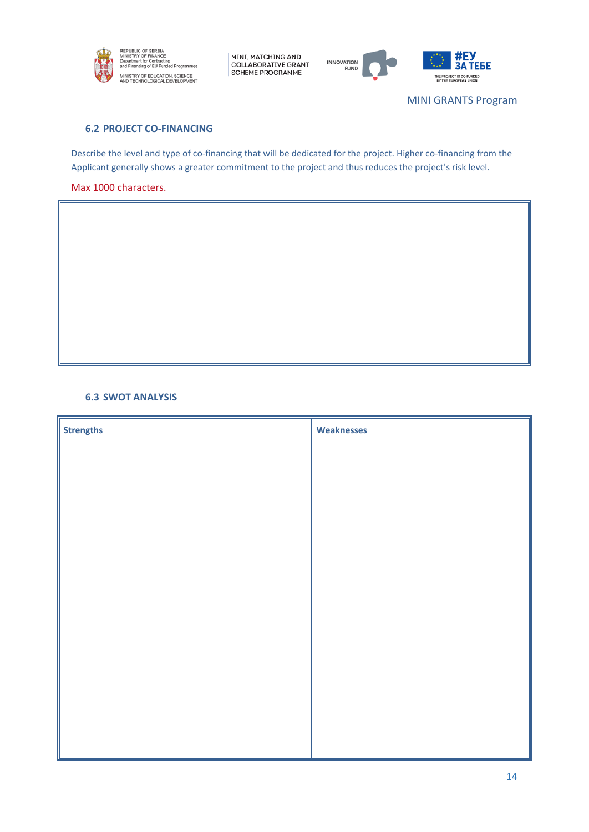





MINI GRANTS Program

## **6.2 PROJECT CO-FINANCING**

Describe the level and type of co-financing that will be dedicated for the project. Higher co-financing from the Applicant generally shows a greater commitment to the project and thus reduces the project's risk level.

## Max 1000 characters.

#### **6.3 SWOT ANALYSIS**

| <b>Strengths</b> | <b>Weaknesses</b> |
|------------------|-------------------|
|                  |                   |
|                  |                   |
|                  |                   |
|                  |                   |
|                  |                   |
|                  |                   |
|                  |                   |
|                  |                   |
|                  |                   |
|                  |                   |
|                  |                   |
|                  |                   |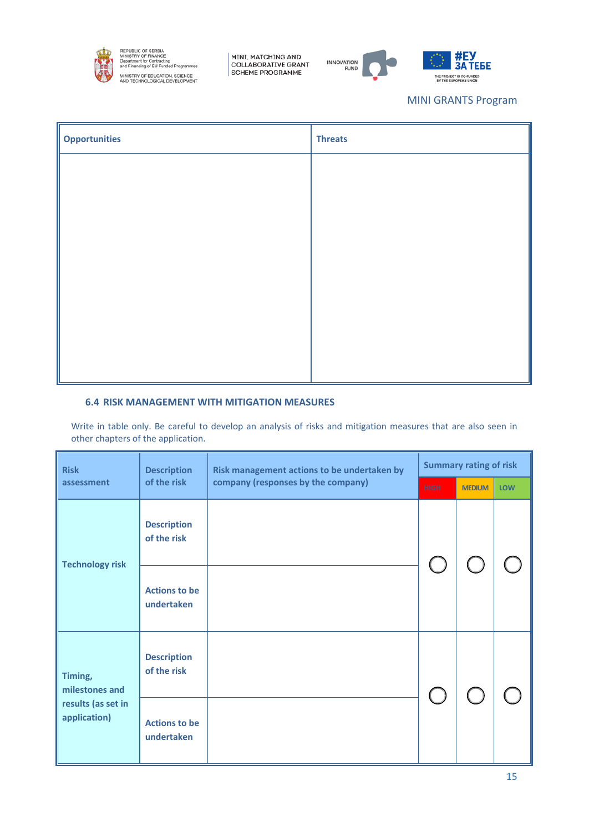

REPUBLIC OF SERBIA<br>MINISTRY OF FINANCE<br>Department for Contracting<br>and Financing of EU Funded Programr MINISTRY OF EDUCATION, SCIENCE<br>AND TECHNOLOGICAL DEVELOPMENT

MINI, MATCHING AND<br>COLLABORATIVE GRANT<br>SCHEME PROGRAMME





## MINI GRANTS Program

| <b>Opportunities</b> | <b>Threats</b> |
|----------------------|----------------|
|                      |                |
|                      |                |
|                      |                |
|                      |                |
|                      |                |
|                      |                |
|                      |                |
|                      |                |

### **6.4 RISK MANAGEMENT WITH MITIGATION MEASURES**

Write in table only. Be careful to develop an analysis of risks and mitigation measures that are also seen in other chapters of the application.

| <b>Risk</b>                        | <b>Description</b>                 | Risk management actions to be undertaken by |             | <b>Summary rating of risk</b> |            |
|------------------------------------|------------------------------------|---------------------------------------------|-------------|-------------------------------|------------|
| assessment                         | of the risk                        | company (responses by the company)          | <b>HIGH</b> | <b>MEDIUM</b>                 | <b>LOW</b> |
| <b>Technology risk</b>             | <b>Description</b><br>of the risk  |                                             |             |                               |            |
|                                    | <b>Actions to be</b><br>undertaken |                                             |             |                               |            |
| Timing,<br>milestones and          | <b>Description</b><br>of the risk  |                                             |             |                               |            |
| results (as set in<br>application) | <b>Actions to be</b><br>undertaken |                                             |             |                               |            |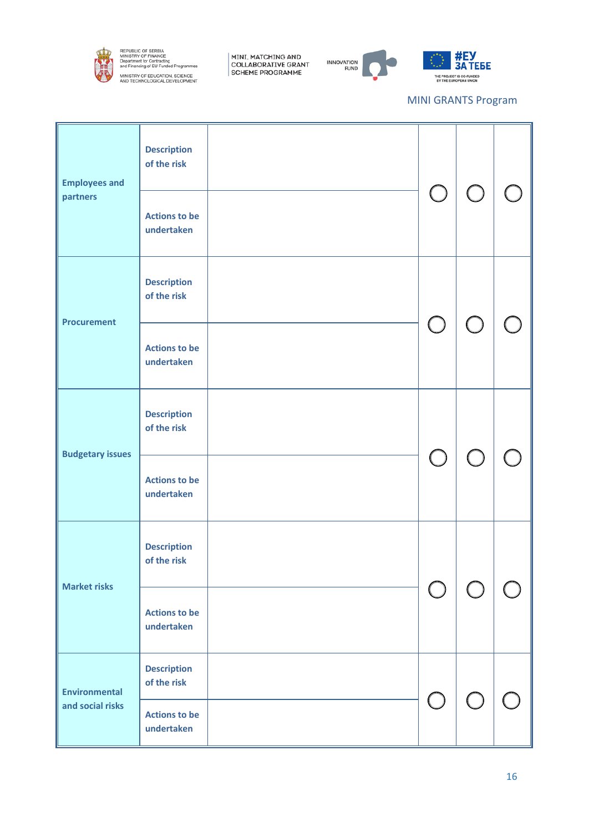

REPUBLIC OF SERBIA<br>MINISTRY OF FINANCE<br>Department for Contracting<br>and Financing of EU Funded Programmes MINISTRY OF EDUCATION, SCIENCE<br>AND TECHNOLOGICAL DEVELOPMENT

MINI, MATCHING AND<br>COLLABORATIVE GRANT<br>SCHEME PROGRAMME





## MINI GRANTS Program

| <b>Employees and</b><br>partners | <b>Description</b><br>of the risk<br><b>Actions to be</b><br>undertaken | $\bigcirc$                                  | (              |  |
|----------------------------------|-------------------------------------------------------------------------|---------------------------------------------|----------------|--|
| <b>Procurement</b>               | <b>Description</b><br>of the risk<br><b>Actions to be</b>               | $\bigcirc$                                  | ( )            |  |
|                                  | undertaken                                                              |                                             |                |  |
| <b>Budgetary issues</b>          | <b>Description</b><br>of the risk                                       |                                             |                |  |
|                                  | <b>Actions to be</b><br>undertaken                                      | $\bigcup$                                   | $\overline{C}$ |  |
| <b>Market risks</b>              | <b>Description</b><br>of the risk                                       |                                             |                |  |
|                                  | <b>Actions to be</b><br>undertaken                                      |                                             |                |  |
| <b>Environmental</b>             | <b>Description</b><br>of the risk                                       |                                             |                |  |
| and social risks                 | <b>Actions to be</b><br>undertaken                                      | $\left(\begin{array}{c} \end{array}\right)$ |                |  |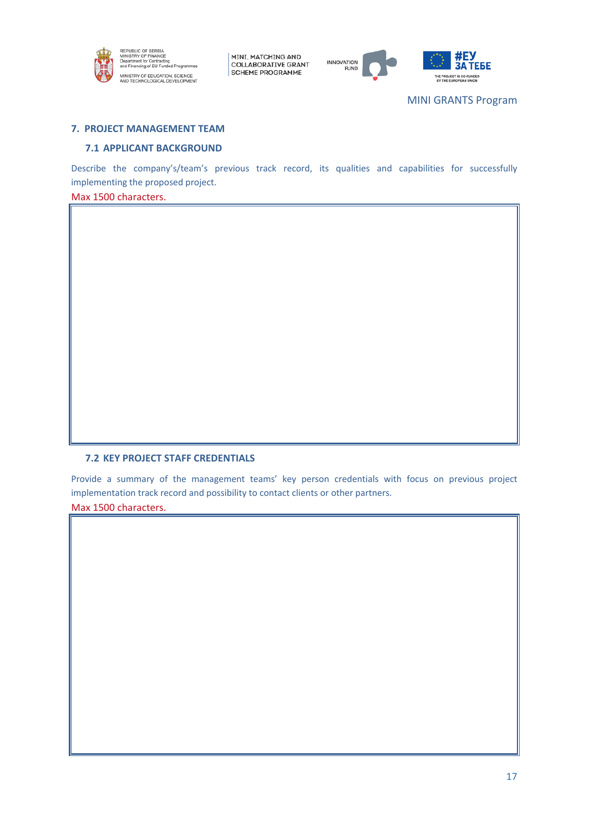



ТЕБЕ .<br>DJECT IS CO-FU<br>I FUROPEAN UI

## **7. PROJECT MANAGEMENT TEAM**

#### **7.1 APPLICANT BACKGROUND**

Describe the company's/team's previous track record, its qualities and capabilities for successfully implementing the proposed project.

## Max 1500 characters.

## **7.2 KEY PROJECT STAFF CREDENTIALS**

Provide a summary of the management teams' key person credentials with focus on previous project implementation track record and possibility to contact clients or other partners.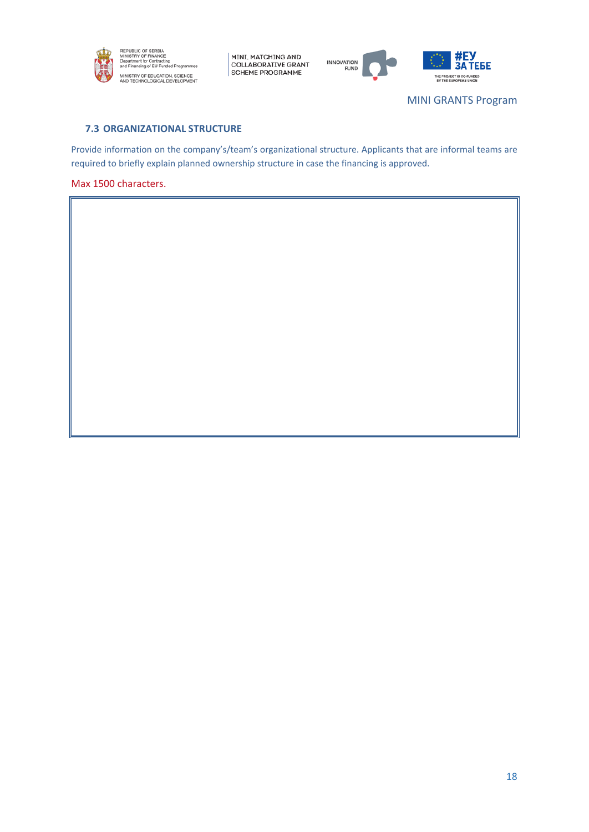



**3A TEBE** THE PROJECT IS CO-FUNDED<br>IN THE EUROPEAN UNION

MINI GRANTS Program

## **7.3 ORGANIZATIONAL STRUCTURE**

Provide information on the company's/team's organizational structure. Applicants that are informal teams are required to briefly explain planned ownership structure in case the financing is approved.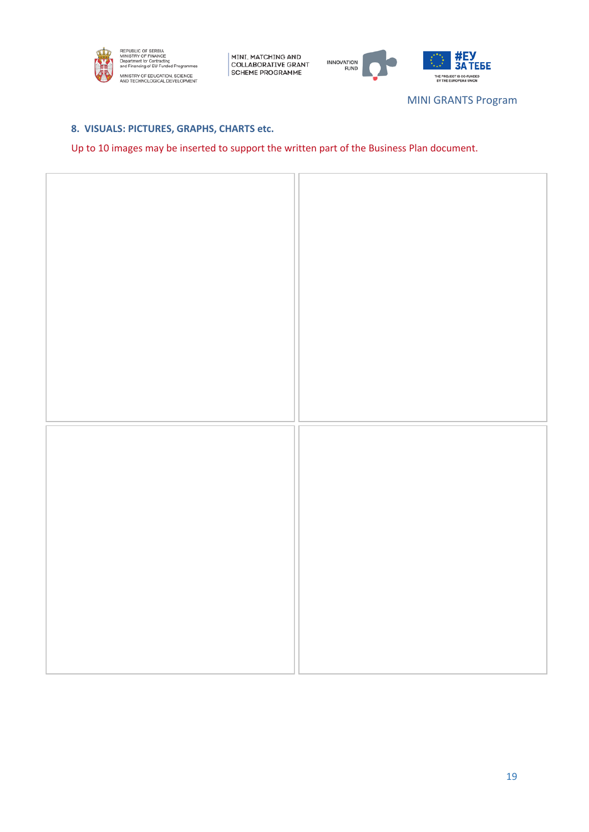



MINI GRANTS Program

## **8. VISUALS: PICTURES, GRAPHS, CHARTS etc.**

Up to 10 images may be inserted to support the written part of the Business Plan document.